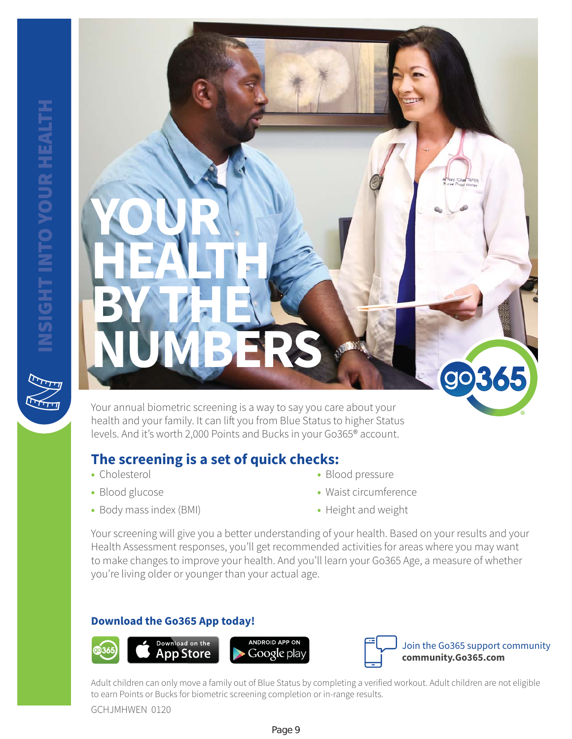

Your annual biometric screening is a way to say you care about your health and your family. It can lift you from Blue Status to higher Status levels. And it's worth 2,000 Points and Bucks in your Go365® account.

## **The screening is a set of quick checks:**

- **•** Cholesterol
- **•** Blood glucose
- **•** Body mass index (BMI)
- **•** Blood pressure
- **•** Waist circumference
- **•** Height and weight

Your screening will give you a better understanding of your health. Based on your results and your Health Assessment responses, you'll get recommended activities for areas where you may want to make changes to improve your health. And you'll learn your Go365 Age, a measure of whether you're living older or younger than your actual age.

### **Download the Go365 App today!**





Adult children can only move a family out of Blue Status by completing a verified workout. Adult children are not eligible to earn Points or Bucks for biometric screening completion or in-range results.

GCHJMHWEN 0120